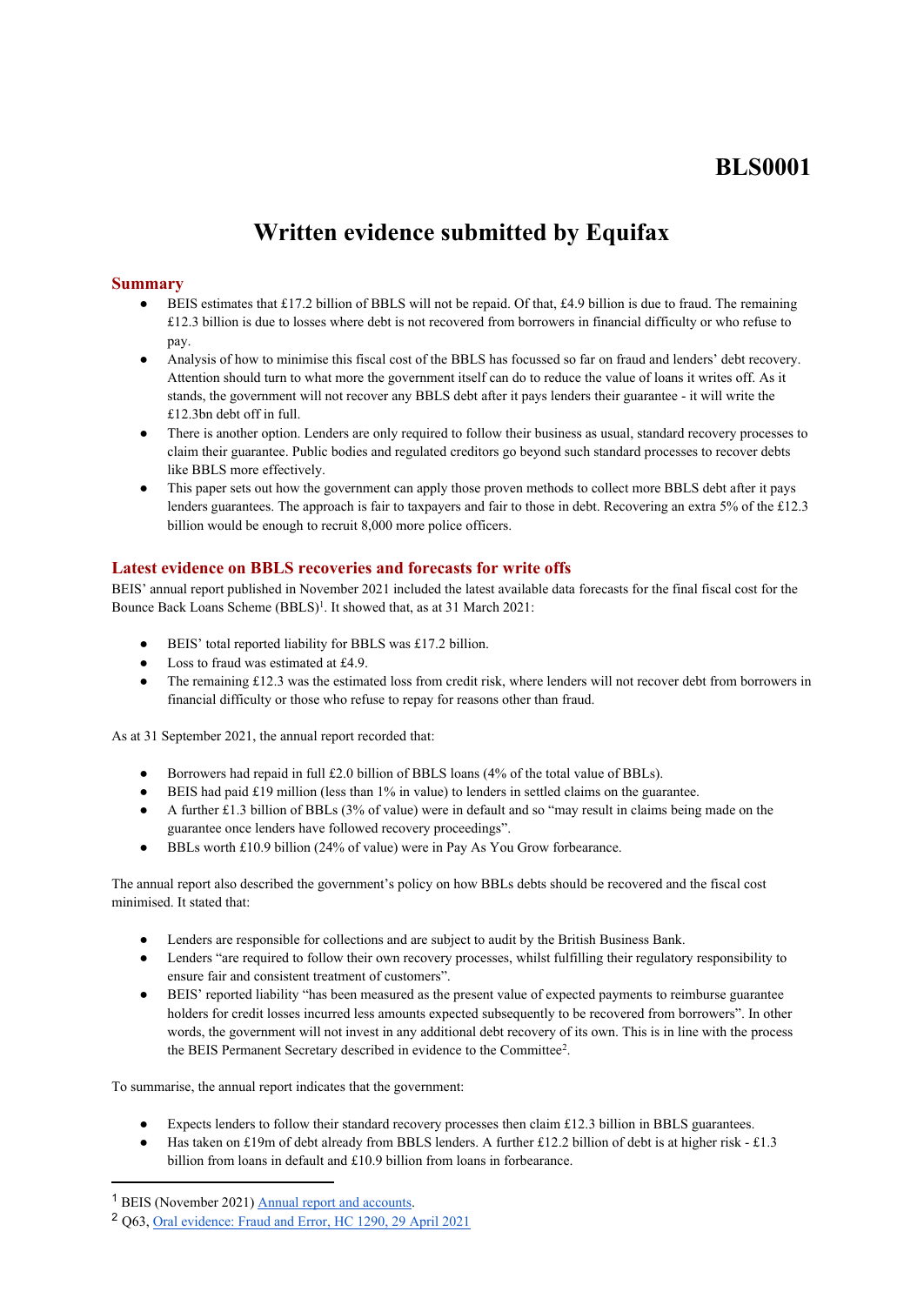## **BLS0001**

# **Written evidence submitted by Equifax**

## **Summary**

- BEIS estimates that £17.2 billion of BBLS will not be repaid. Of that, £4.9 billion is due to fraud. The remaining £12.3 billion is due to losses where debt is not recovered from borrowers in financial difficulty or who refuse to pay.
- Analysis of how to minimise this fiscal cost of the BBLS has focussed so far on fraud and lenders' debt recovery. Attention should turn to what more the government itself can do to reduce the value of loans it writes off. As it stands, the government will not recover any BBLS debt after it pays lenders their guarantee - it will write the £12.3bn debt off in full.
- There is another option. Lenders are only required to follow their business as usual, standard recovery processes to claim their guarantee. Public bodies and regulated creditors go beyond such standard processes to recover debts like BBLS more effectively.
- This paper sets out how the government can apply those proven methods to collect more BBLS debt after it pays lenders guarantees. The approach is fair to taxpayers and fair to those in debt. Recovering an extra 5% of the £12.3 billion would be enough to recruit 8,000 more police officers.

## **Latest evidence on BBLS recoveries and forecasts for write offs**

BEIS' annual report published in November 2021 included the latest available data forecasts for the final fiscal cost for the Bounce Back Loans Scheme (BBLS)<sup>1</sup>. It showed that, as at 31 March 2021:

- BEIS' total reported liability for BBLS was £17.2 billion.
- Loss to fraud was estimated at £4.9.
- The remaining £12.3 was the estimated loss from credit risk, where lenders will not recover debt from borrowers in financial difficulty or those who refuse to repay for reasons other than fraud.

As at 31 September 2021, the annual report recorded that:

- Borrowers had repaid in full £2.0 billion of BBLS loans (4% of the total value of BBLs).
- BEIS had paid £19 million (less than 1% in value) to lenders in settled claims on the guarantee.
- A further £1.3 billion of BBLs (3% of value) were in default and so "may result in claims being made on the guarantee once lenders have followed recovery proceedings".
- BBLs worth £10.9 billion (24% of value) were in Pay As You Grow forbearance.

The annual report also described the government's policy on how BBLs debts should be recovered and the fiscal cost minimised. It stated that:

- Lenders are responsible for collections and are subject to audit by the British Business Bank.
- Lenders "are required to follow their own recovery processes, whilst fulfilling their regulatory responsibility to ensure fair and consistent treatment of customers".
- BEIS' reported liability "has been measured as the present value of expected payments to reimburse guarantee holders for credit losses incurred less amounts expected subsequently to be recovered from borrowers". In other words, the government will not invest in any additional debt recovery of its own. This is in line with the process the BEIS Permanent Secretary described in evidence to the Committee<sup>2</sup> .

To summarise, the annual report indicates that the government:

- Expects lenders to follow their standard recovery processes then claim £12.3 billion in BBLS guarantees.
- Has taken on £19m of debt already from BBLS lenders. A further £12.2 billion of debt is at higher risk £1.3 billion from loans in default and £10.9 billion from loans in forbearance.

<sup>&</sup>lt;sup>1</sup> BEIS (November 2021) **[Annual](https://assets.publishing.service.gov.uk/government/uploads/system/uploads/attachment_data/file/1036048/1210-APS-CCS0621807886-001_BEIS_ARA_20_21_Accessible.pdf) [report](https://assets.publishing.service.gov.uk/government/uploads/system/uploads/attachment_data/file/1036048/1210-APS-CCS0621807886-001_BEIS_ARA_20_21_Accessible.pdf) [and](https://assets.publishing.service.gov.uk/government/uploads/system/uploads/attachment_data/file/1036048/1210-APS-CCS0621807886-001_BEIS_ARA_20_21_Accessible.pdf) [accounts.](https://assets.publishing.service.gov.uk/government/uploads/system/uploads/attachment_data/file/1036048/1210-APS-CCS0621807886-001_BEIS_ARA_20_21_Accessible.pdf)** 

<sup>2</sup> Q63, [Oral](https://committees.parliament.uk/oralevidence/2331/default/) [evidence:](https://committees.parliament.uk/oralevidence/2331/default/) [Fraud](https://committees.parliament.uk/oralevidence/2331/default/) [and](https://committees.parliament.uk/oralevidence/2331/default/) [Error,](https://committees.parliament.uk/oralevidence/2331/default/) [HC](https://committees.parliament.uk/oralevidence/2331/default/) [1290,](https://committees.parliament.uk/oralevidence/2331/default/) [29](https://committees.parliament.uk/oralevidence/2331/default/) [April](https://committees.parliament.uk/oralevidence/2331/default/) [2021](https://committees.parliament.uk/oralevidence/2331/default/)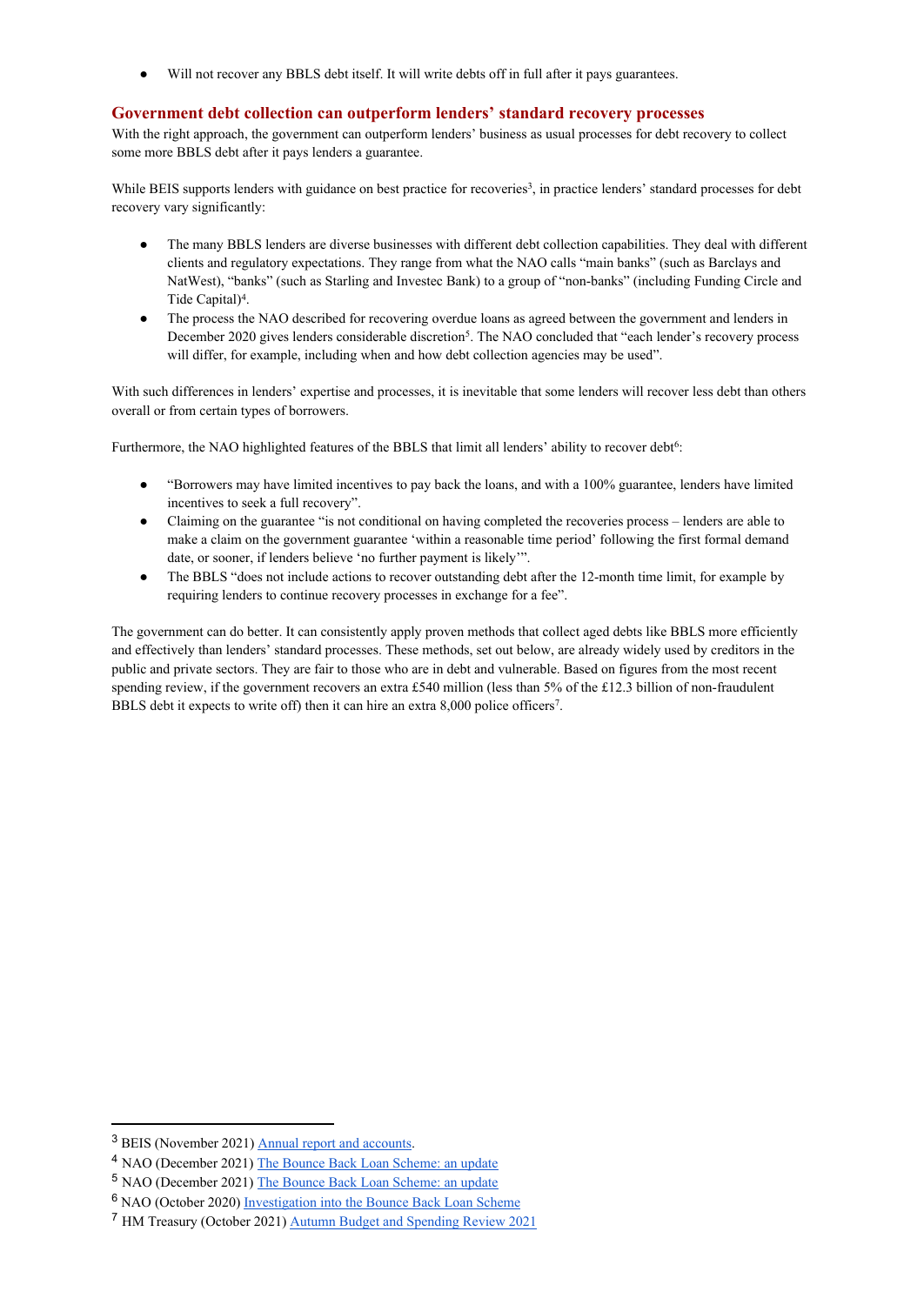● Will not recover any BBLS debt itself. It will write debts off in full after it pays guarantees.

#### **Government debt collection can outperform lenders' standard recovery processes**

With the right approach, the government can outperform lenders' business as usual processes for debt recovery to collect some more BBLS debt after it pays lenders a guarantee.

While BEIS supports lenders with guidance on best practice for recoveries<sup>3</sup>, in practice lenders' standard processes for debt recovery vary significantly:

- The many BBLS lenders are diverse businesses with different debt collection capabilities. They deal with different clients and regulatory expectations. They range from what the NAO calls "main banks" (such as Barclays and NatWest), "banks" (such as Starling and Investec Bank) to a group of "non-banks" (including Funding Circle and Tide Capital)<sup>4</sup>.
- The process the NAO described for recovering overdue loans as agreed between the government and lenders in December 2020 gives lenders considerable discretion<sup>5</sup>. The NAO concluded that "each lender's recovery process will differ, for example, including when and how debt collection agencies may be used".

With such differences in lenders' expertise and processes, it is inevitable that some lenders will recover less debt than others overall or from certain types of borrowers.

Furthermore, the NAO highlighted features of the BBLS that limit all lenders' ability to recover debt<sup>6</sup>:

- "Borrowers may have limited incentives to pay back the loans, and with a 100% guarantee, lenders have limited incentives to seek a full recovery".
- Claiming on the guarantee "is not conditional on having completed the recoveries process lenders are able to make a claim on the government guarantee 'within a reasonable time period' following the first formal demand date, or sooner, if lenders believe 'no further payment is likely'".
- The BBLS "does not include actions to recover outstanding debt after the 12-month time limit, for example by requiring lenders to continue recovery processes in exchange for a fee".

The government can do better. It can consistently apply proven methods that collect aged debts like BBLS more efficiently and effectively than lenders' standard processes. These methods, set out below, are already widely used by creditors in the public and private sectors. They are fair to those who are in debt and vulnerable. Based on figures from the most recent spending review, if the government recovers an extra £540 million (less than 5% of the £12.3 billion of non-fraudulent BBLS debt it expects to write off) then it can hire an extra 8,000 police officers<sup>7</sup>.

<sup>3</sup> BEIS (November 2021) [Annual](https://assets.publishing.service.gov.uk/government/uploads/system/uploads/attachment_data/file/1036048/1210-APS-CCS0621807886-001_BEIS_ARA_20_21_Accessible.pdf) [report](https://assets.publishing.service.gov.uk/government/uploads/system/uploads/attachment_data/file/1036048/1210-APS-CCS0621807886-001_BEIS_ARA_20_21_Accessible.pdf) [and](https://assets.publishing.service.gov.uk/government/uploads/system/uploads/attachment_data/file/1036048/1210-APS-CCS0621807886-001_BEIS_ARA_20_21_Accessible.pdf) [accounts.](https://assets.publishing.service.gov.uk/government/uploads/system/uploads/attachment_data/file/1036048/1210-APS-CCS0621807886-001_BEIS_ARA_20_21_Accessible.pdf)

<sup>4</sup> NAO (December 2021) [The](https://www.nao.org.uk/wp-content/uploads/2021/12/The-Bounce-Back-Loan-Scheme-an-update.pdf) [Bounce](https://www.nao.org.uk/wp-content/uploads/2021/12/The-Bounce-Back-Loan-Scheme-an-update.pdf) [Back](https://www.nao.org.uk/wp-content/uploads/2021/12/The-Bounce-Back-Loan-Scheme-an-update.pdf) [Loan](https://www.nao.org.uk/wp-content/uploads/2021/12/The-Bounce-Back-Loan-Scheme-an-update.pdf) [Scheme:](https://www.nao.org.uk/wp-content/uploads/2021/12/The-Bounce-Back-Loan-Scheme-an-update.pdf) [an](https://www.nao.org.uk/wp-content/uploads/2021/12/The-Bounce-Back-Loan-Scheme-an-update.pdf) [update](https://www.nao.org.uk/wp-content/uploads/2021/12/The-Bounce-Back-Loan-Scheme-an-update.pdf)

<sup>5</sup> NAO (December 2021) [The](https://www.nao.org.uk/wp-content/uploads/2021/12/The-Bounce-Back-Loan-Scheme-an-update.pdf) [Bounce](https://www.nao.org.uk/wp-content/uploads/2021/12/The-Bounce-Back-Loan-Scheme-an-update.pdf) [Back](https://www.nao.org.uk/wp-content/uploads/2021/12/The-Bounce-Back-Loan-Scheme-an-update.pdf) [Loan](https://www.nao.org.uk/wp-content/uploads/2021/12/The-Bounce-Back-Loan-Scheme-an-update.pdf) [Scheme:](https://www.nao.org.uk/wp-content/uploads/2021/12/The-Bounce-Back-Loan-Scheme-an-update.pdf) [an](https://www.nao.org.uk/wp-content/uploads/2021/12/The-Bounce-Back-Loan-Scheme-an-update.pdf) [update](https://www.nao.org.uk/wp-content/uploads/2021/12/The-Bounce-Back-Loan-Scheme-an-update.pdf)

<sup>6</sup> NAO (October 2020) [Investigation](https://www.nao.org.uk/wp-content/uploads/2020/10/Investigation-into-the-Bounce-Back-Loan-Scheme.pdf) [into](https://www.nao.org.uk/wp-content/uploads/2020/10/Investigation-into-the-Bounce-Back-Loan-Scheme.pdf) [the](https://www.nao.org.uk/wp-content/uploads/2020/10/Investigation-into-the-Bounce-Back-Loan-Scheme.pdf) [Bounce](https://www.nao.org.uk/wp-content/uploads/2020/10/Investigation-into-the-Bounce-Back-Loan-Scheme.pdf) [Back](https://www.nao.org.uk/wp-content/uploads/2020/10/Investigation-into-the-Bounce-Back-Loan-Scheme.pdf) [Loan](https://www.nao.org.uk/wp-content/uploads/2020/10/Investigation-into-the-Bounce-Back-Loan-Scheme.pdf) [Scheme](https://www.nao.org.uk/wp-content/uploads/2020/10/Investigation-into-the-Bounce-Back-Loan-Scheme.pdf)

<sup>7</sup> HM Treasury (October 2021) [Autumn](https://assets.publishing.service.gov.uk/government/uploads/system/uploads/attachment_data/file/1029973/Budget_AB2021_Print.pdf) [Budget](https://assets.publishing.service.gov.uk/government/uploads/system/uploads/attachment_data/file/1029973/Budget_AB2021_Print.pdf) [and](https://assets.publishing.service.gov.uk/government/uploads/system/uploads/attachment_data/file/1029973/Budget_AB2021_Print.pdf) [Spending](https://assets.publishing.service.gov.uk/government/uploads/system/uploads/attachment_data/file/1029973/Budget_AB2021_Print.pdf) [Review](https://assets.publishing.service.gov.uk/government/uploads/system/uploads/attachment_data/file/1029973/Budget_AB2021_Print.pdf) [2021](https://assets.publishing.service.gov.uk/government/uploads/system/uploads/attachment_data/file/1029973/Budget_AB2021_Print.pdf)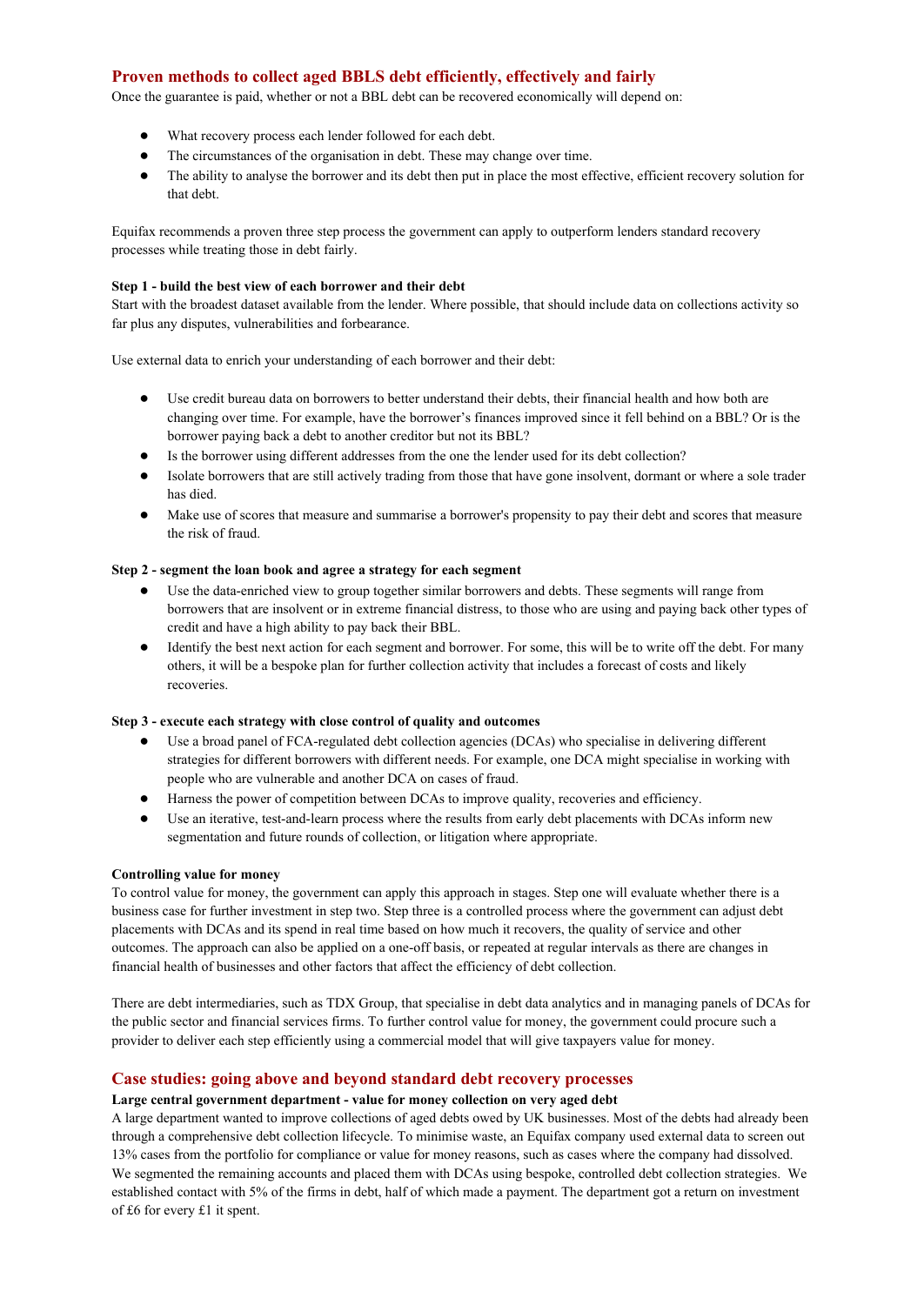## **Proven methods to collect aged BBLS debt efficiently, effectively and fairly**

Once the guarantee is paid, whether or not a BBL debt can be recovered economically will depend on:

- What recovery process each lender followed for each debt.
- The circumstances of the organisation in debt. These may change over time.
- The ability to analyse the borrower and its debt then put in place the most effective, efficient recovery solution for that debt.

Equifax recommends a proven three step process the government can apply to outperform lenders standard recovery processes while treating those in debt fairly.

#### **Step 1 - build the best view of each borrower and their debt**

Start with the broadest dataset available from the lender. Where possible, that should include data on collections activity so far plus any disputes, vulnerabilities and forbearance.

Use external data to enrich your understanding of each borrower and their debt:

- Use credit bureau data on borrowers to better understand their debts, their financial health and how both are changing over time. For example, have the borrower's finances improved since it fell behind on a BBL? Or is the borrower paying back a debt to another creditor but not its BBL?
- Is the borrower using different addresses from the one the lender used for its debt collection?
- Isolate borrowers that are still actively trading from those that have gone insolvent, dormant or where a sole trader has died.
- Make use of scores that measure and summarise a borrower's propensity to pay their debt and scores that measure the risk of fraud.

#### **Step 2 - segment the loan book and agree a strategy for each segment**

- Use the data-enriched view to group together similar borrowers and debts. These segments will range from borrowers that are insolvent or in extreme financial distress, to those who are using and paying back other types of credit and have a high ability to pay back their BBL.
- Identify the best next action for each segment and borrower. For some, this will be to write off the debt. For many others, it will be a bespoke plan for further collection activity that includes a forecast of costs and likely recoveries.

#### **Step 3 - execute each strategy with close control of quality and outcomes**

- Use a broad panel of FCA-regulated debt collection agencies (DCAs) who specialise in delivering different strategies for different borrowers with different needs. For example, one DCA might specialise in working with people who are vulnerable and another DCA on cases of fraud.
- Harness the power of competition between DCAs to improve quality, recoveries and efficiency.
- Use an iterative, test-and-learn process where the results from early debt placements with DCAs inform new segmentation and future rounds of collection, or litigation where appropriate.

#### **Controlling value for money**

To control value for money, the government can apply this approach in stages. Step one will evaluate whether there is a business case for further investment in step two. Step three is a controlled process where the government can adjust debt placements with DCAs and its spend in real time based on how much it recovers, the quality of service and other outcomes. The approach can also be applied on a one-off basis, or repeated at regular intervals as there are changes in financial health of businesses and other factors that affect the efficiency of debt collection.

There are debt intermediaries, such as TDX Group, that specialise in debt data analytics and in managing panels of DCAs for the public sector and financial services firms. To further control value for money, the government could procure such a provider to deliver each step efficiently using a commercial model that will give taxpayers value for money.

## **Case studies: going above and beyond standard debt recovery processes**

#### **Large central government department - value for money collection on very aged debt**

A large department wanted to improve collections of aged debts owed by UK businesses. Most of the debts had already been through a comprehensive debt collection lifecycle. To minimise waste, an Equifax company used external data to screen out 13% cases from the portfolio for compliance or value for money reasons, such as cases where the company had dissolved. We segmented the remaining accounts and placed them with DCAs using bespoke, controlled debt collection strategies. We established contact with 5% of the firms in debt, half of which made a payment. The department got a return on investment of £6 for every £1 it spent.